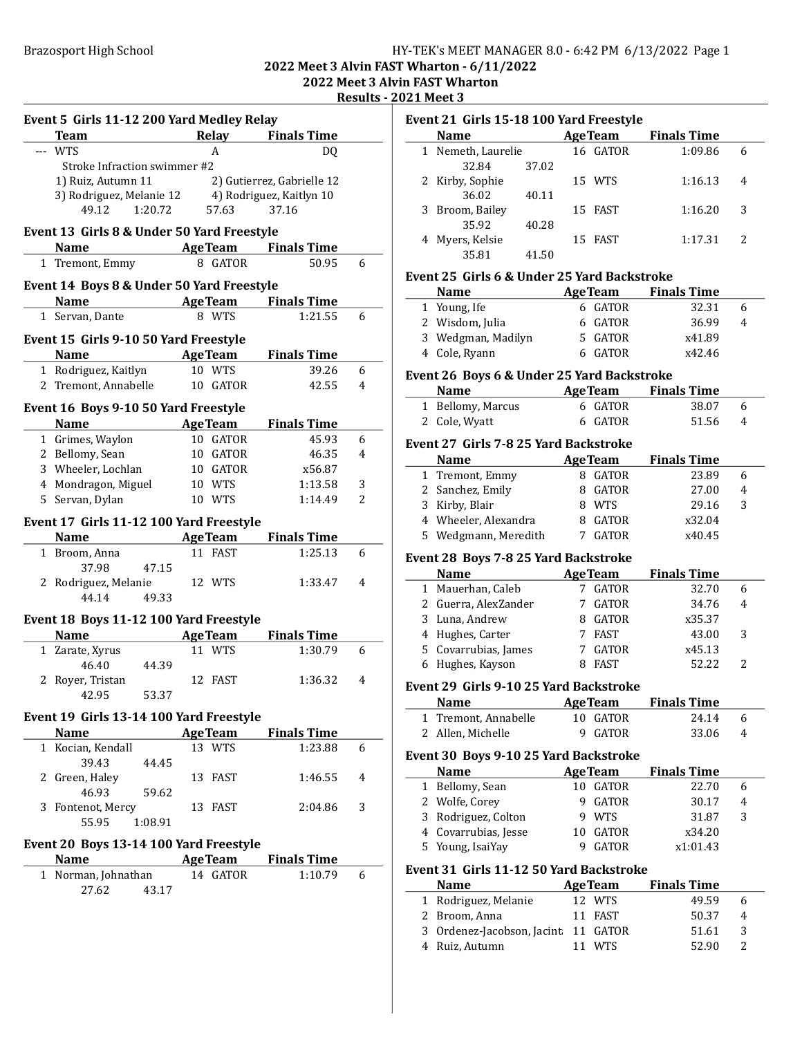# Brazosport High School **HY-TEK's MEET MANAGER 8.0 - 6:42 PM 6/13/2022** Page 1

## 2022 Meet 3 Alvin FAST Wharton - 6/11/2022

2022 Meet 3 Alvin FAST Wharton

Results - 2021 Meet 3

| Event 5 Girls 11-12 200 Yard Medley Relay<br>Team                                                               |                | Relay Finals Time          |   |
|-----------------------------------------------------------------------------------------------------------------|----------------|----------------------------|---|
| --- WTS                                                                                                         | A              | DQ                         |   |
| Stroke Infraction swimmer #2                                                                                    |                |                            |   |
|                                                                                                                 |                |                            |   |
| 1) Ruiz, Autumn 11 <sup>2</sup> 2) Gutierrez, Gabrielle 12<br>3) Rodriguez, Melanie 12 4) Rodriguez, Kaitlyn 10 |                |                            |   |
| 1:20.72<br>49.12                                                                                                | 57.63          | 37.16                      |   |
|                                                                                                                 |                |                            |   |
| Event 13 Girls 8 & Under 50 Yard Freestyle                                                                      |                |                            |   |
| Name AgeTeam Finals Time                                                                                        |                |                            |   |
| 1 Tremont, Emmy                                                                                                 | 8 GATOR        | 50.95                      | 6 |
| Event 14 Boys 8 & Under 50 Yard Freestyle                                                                       |                |                            |   |
| <b>Name</b>                                                                                                     |                | <b>AgeTeam</b> Finals Time |   |
| 1 Servan, Dante                                                                                                 | 8 WTS          | 1:21.55                    | 6 |
|                                                                                                                 |                |                            |   |
| Event 15 Girls 9-10 50 Yard Freestyle                                                                           |                |                            |   |
| <b>Name</b>                                                                                                     | <b>AgeTeam</b> | <b>Finals Time</b>         |   |
| 1 Rodriguez, Kaitlyn                                                                                            | 10 WTS         | 39.26                      | 6 |
| 2 Tremont, Annabelle                                                                                            | 10 GATOR       | 42.55                      | 4 |
|                                                                                                                 |                |                            |   |
| Event 16 Boys 9-10 50 Yard Freestyle                                                                            |                |                            |   |
| <b>Name</b>                                                                                                     | <b>AgeTeam</b> | <b>Finals Time</b>         |   |
| 1 Grimes, Waylon                                                                                                | 10 GATOR       | 45.93                      | 6 |
| 2 Bellomy, Sean                                                                                                 | 10 GATOR       | 46.35                      | 4 |
| 3 Wheeler, Lochlan                                                                                              | 10 GATOR       | x56.87                     |   |
| 4 Mondragon, Miguel                                                                                             | 10 WTS         | 1:13.58                    | 3 |
| 5 Servan, Dylan                                                                                                 | 10 WTS         | 1:14.49                    | 2 |
| Event 17 Girls 11-12 100 Yard Freestyle                                                                         |                |                            |   |
| <b>Name</b>                                                                                                     | <b>AgeTeam</b> | <b>Finals Time</b>         |   |
| 1 Broom, Anna                                                                                                   | 11 FAST        | 1:25.13                    | 6 |
| 37.98<br>47.15                                                                                                  |                |                            |   |
| 2 Rodriguez, Melanie                                                                                            | 12 WTS         | 1:33.47                    | 4 |
| 44.14<br>49.33                                                                                                  |                |                            |   |
|                                                                                                                 |                |                            |   |
| Event 18 Boys 11-12 100 Yard Freestyle                                                                          |                |                            |   |
| Name AgeTeam                                                                                                    |                | <b>Finals Time</b>         |   |
| 1 Zarate, Xyrus                                                                                                 | 11 WTS         | 1:30.79                    | 6 |
| 46.40<br>44.39                                                                                                  |                |                            |   |
| 2 Royer, Tristan                                                                                                | 12 FAST        | 1:36.32                    | 4 |
| 53.37<br>42.95                                                                                                  |                |                            |   |
| Event 19 Girls 13-14 100 Yard Freestyle                                                                         |                |                            |   |
| Name                                                                                                            |                | <b>AgeTeam</b> Finals Time |   |
| 1 Kocian, Kendall                                                                                               | 13 WTS         | 1:23.88                    | 6 |
| 39.43<br>44.45                                                                                                  |                |                            |   |
| 2 Green, Haley                                                                                                  | 13 FAST        | 1:46.55                    | 4 |
| 46.93<br>59.62                                                                                                  |                |                            |   |
| 3 Fontenot, Mercy                                                                                               | 13 FAST        | 2:04.86                    | 3 |
| 55.95<br>1:08.91                                                                                                |                |                            |   |
|                                                                                                                 |                |                            |   |
|                                                                                                                 |                |                            |   |
| Event 20 Boys 13-14 100 Yard Freestyle                                                                          |                |                            |   |
| <b>Name</b>                                                                                                     | AgeTeam        | <b>Finals Time</b>         |   |
| 1 Norman, Johnathan<br>27.62<br>43.17                                                                           | 14 GATOR       | 1:10.79                    | 6 |

| Event 21 Girls 15-18 100 Yard Freestyle |                    |       |  |                |                    |   |
|-----------------------------------------|--------------------|-------|--|----------------|--------------------|---|
|                                         | <b>Name</b>        |       |  | <b>AgeTeam</b> | <b>Finals Time</b> |   |
|                                         | 1 Nemeth, Laurelie |       |  | 16 GATOR       | 1:09.86            | 6 |
|                                         | 32.84              | 37.02 |  |                |                    |   |
|                                         | 2 Kirby, Sophie    |       |  | 15 WTS         | 1:16.13            | 4 |
|                                         | 36.02              | 40.11 |  |                |                    |   |
|                                         | 3 Broom, Bailey    |       |  | 15 FAST        | 1:16.20            | 3 |
|                                         | 35.92              | 40.28 |  |                |                    |   |
|                                         | Myers, Kelsie      |       |  | <b>FAST</b>    | 1:17.31            |   |

#### Event 25 Girls 6 & Under 25 Yard Backstroke

35.81 41.50

| <b>Name</b>        | <b>AgeTeam</b> | <b>Finals Time</b> |   |
|--------------------|----------------|--------------------|---|
| 1 Young, Ife       | 6 GATOR        | 32.31              | h |
| 2 Wisdom, Julia    | 6 GATOR        | 36.99              | 4 |
| 3 Wedgman, Madilyn | 5 GATOR        | x41.89             |   |
| 4 Cole, Ryann      | 6 GATOR        | x42.46             |   |

#### Event 26 Boys 6 & Under 25 Yard Backstroke

| <b>Name</b>       | <b>AgeTeam</b> | <b>Finals Time</b> |   |
|-------------------|----------------|--------------------|---|
| 1 Bellomy, Marcus | 6 GATOR        | 38.07              |   |
| 2 Cole, Wyatt     | 6 GATOR        | 51.56              | 4 |

#### Event 27 Girls 7-8 25 Yard Backstroke

| <b>Name</b>          | <b>AgeTeam</b> | <b>Finals Time</b> |   |  |
|----------------------|----------------|--------------------|---|--|
| 1 Tremont, Emmy      | 8 GATOR        | 23.89              |   |  |
| 2 Sanchez, Emily     | 8 GATOR        | 27.00              |   |  |
| 3 Kirby, Blair       | 8 WTS          | 29.16              | 3 |  |
| 4 Wheeler, Alexandra | 8 GATOR        | x32.04             |   |  |
| 5 Wedgmann, Meredith | 7 GATOR        | x40.45             |   |  |

#### Event 28 Boys 7-8 25 Yard Backstroke

| <b>Name</b>          | <b>AgeTeam</b> | <b>Finals Time</b> |   |
|----------------------|----------------|--------------------|---|
| 1 Mauerhan, Caleb    | <b>GATOR</b>   | 32.70              | 6 |
| 2 Guerra, AlexZander | GATOR          | 34.76              | 4 |
| 3 Luna, Andrew       | GATOR          | x35.37             |   |
| 4 Hughes, Carter     | FAST           | 43.00              |   |
| 5 Covarrubias, James | GATOR          | x45.13             |   |
| 6 Hughes, Kayson     | FAST           | 52.22              |   |

#### Event 29 Girls 9-10 25 Yard Backstroke

| <b>Name</b>          | <b>AgeTeam</b> | <b>Finals Time</b> |    |
|----------------------|----------------|--------------------|----|
| 1 Tremont, Annabelle | 10 GATOR       | 24.14              | -6 |
| 2 Allen, Michelle    | 9 GATOR        | 33.06              | -4 |

### Event 30 Boys 9-10 25 Yard Backstroke

| <b>Name</b>          | <b>AgeTeam</b> | <b>Finals Time</b> |   |
|----------------------|----------------|--------------------|---|
| 1 Bellomy, Sean      | 10 GATOR       | 22.70              | h |
| 2 Wolfe, Corey       | 9 GATOR        | 30.17              | 4 |
| 3 Rodriguez, Colton  | 9 WTS          | 31.87              | 3 |
| 4 Covarrubias, Jesse | 10 GATOR       | x34.20             |   |
| 5 Young, IsaiYay     | <b>GATOR</b>   | x1:01.43           |   |

### Event 31 Girls 11-12 50 Yard Backstroke

| <b>Name</b>                         | <b>AgeTeam</b> | <b>Finals Time</b> |   |
|-------------------------------------|----------------|--------------------|---|
| 1 Rodriguez, Melanie                | 12 WTS         | 49.59              | h |
| 2 Broom, Anna                       | 11 FAST        | 50.37              | 4 |
| 3 Ordenez-Jacobson, Jacint 11 GATOR |                | 51.61              | ર |
| 4 Ruiz, Autumn                      | 11 WTS         | 52.90              |   |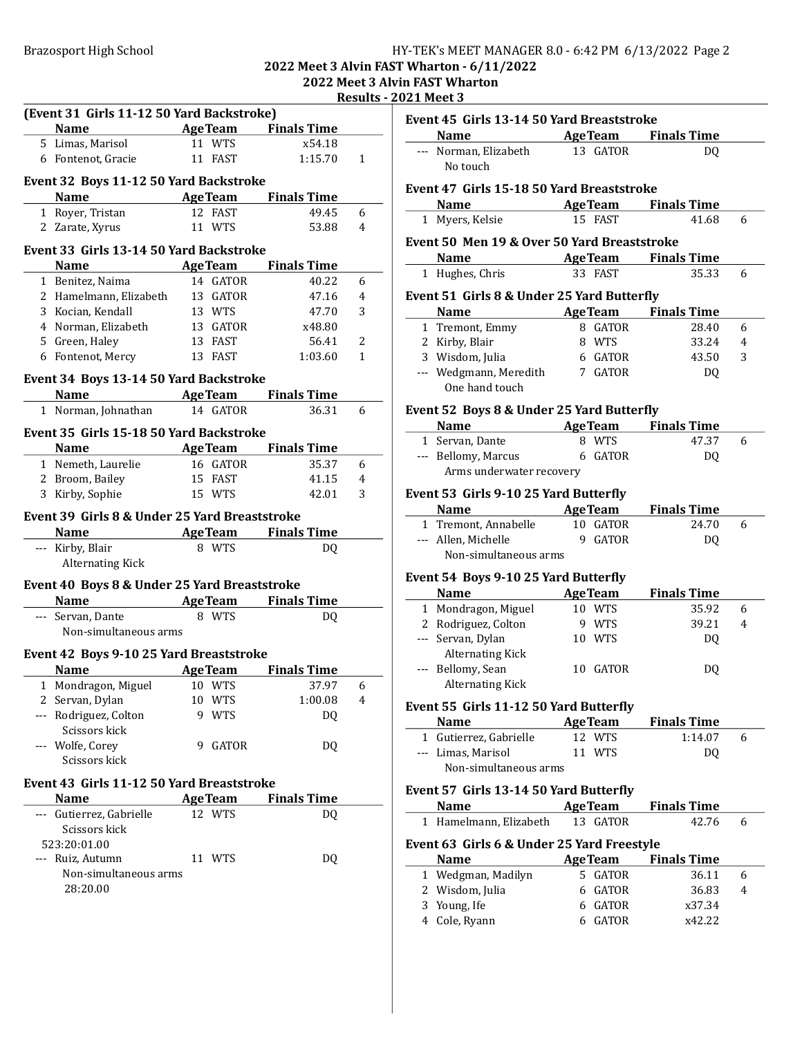### Brazosport High School **HY-TEK's MEET MANAGER 8.0 - 6:42 PM 6/13/2022** Page 2

### 2022 Meet 3 Alvin FAST Wharton - 6/11/2022 2022 Meet 3 Alvin FAST Wharton

Results - 2021 Meet 3

|   | (Event 31 Girls 11-12 50 Yard Backstroke)     |        |                |                                        |             |
|---|-----------------------------------------------|--------|----------------|----------------------------------------|-------------|
|   | Name AgeTeam Finals Time                      |        |                |                                        |             |
|   | 5 Limas, Marisol                              |        | 11 WTS         | x54.18                                 |             |
|   | 6 Fontenot, Gracie                            |        | 11 FAST        | 1:15.70                                | 1           |
|   | Event 32 Boys 11-12 50 Yard Backstroke        |        |                |                                        |             |
|   | <b>Name</b>                                   |        |                | <b>Example 2 Age Team</b> Finals Time  |             |
|   | 1 Royer, Tristan                              |        | 12 FAST        | 49.45                                  | 6           |
|   | 2 Zarate, Xyrus                               |        | 11 WTS         | 53.88                                  | 4           |
|   |                                               |        |                |                                        |             |
|   | Event 33 Girls 13-14 50 Yard Backstroke       |        |                |                                        |             |
|   | Name AgeTeam Finals Time                      |        |                |                                        |             |
|   | 1 Benitez, Naima                              |        | 14 GATOR       | 40.22                                  | 6           |
|   | 2 Hamelmann, Elizabeth                        |        | 13 GATOR       | 47.16                                  | 4           |
|   | 3 Kocian, Kendall                             |        | 13 WTS         | 47.70                                  | 3           |
|   | 4 Norman, Elizabeth                           |        | 13 GATOR       | x48.80                                 |             |
|   | 5 Green, Haley                                |        | 13 FAST        | 56.41                                  | 2           |
|   | 6 Fontenot, Mercy                             |        | 13 FAST        | 1:03.60                                | $\mathbf 1$ |
|   |                                               |        |                |                                        |             |
|   | Event 34 Boys 13-14 50 Yard Backstroke        |        |                |                                        |             |
|   | Name AgeTeam Finals Time                      |        |                |                                        |             |
|   | 1 Norman, Johnathan 14 GATOR                  |        |                | 36.31                                  | 6           |
|   | Event 35 Girls 15-18 50 Yard Backstroke       |        |                |                                        |             |
|   | <b>Name</b>                                   |        |                | <b>Example 21 Age Team</b> Finals Time |             |
|   | 1 Nemeth, Laurelie                            |        | 16 GATOR       | 35.37                                  | 6           |
|   | 2 Broom, Bailey                               |        | 15 FAST        | 41.15                                  | 4           |
|   | 3 Kirby, Sophie                               |        | 15 WTS         | 42.01                                  | 3           |
|   |                                               |        |                |                                        |             |
|   | Event 39 Girls 8 & Under 25 Yard Breaststroke |        |                |                                        |             |
|   |                                               |        |                |                                        |             |
|   | Name AgeTeam Finals Time                      |        |                |                                        |             |
|   | --- Kirby, Blair                              |        | 8 WTS          | DQ                                     |             |
|   | <b>Alternating Kick</b>                       |        |                |                                        |             |
|   |                                               |        |                |                                        |             |
|   | Event 40 Boys 8 & Under 25 Yard Breaststroke  |        |                |                                        |             |
|   | <b>Name AgeTeam</b> Finals Time               |        |                |                                        |             |
|   | --- Servan, Dante                             |        | 8 WTS          | DQ                                     |             |
|   | Non-simultaneous arms                         |        |                |                                        |             |
|   | Event 42 Boys 9-10 25 Yard Breaststroke       |        |                |                                        |             |
|   | Name                                          |        | <b>AgeTeam</b> | <b>Finals Time</b>                     |             |
| 1 | Mondragon, Miguel                             | 10 WTS |                | 37.97                                  | 6           |
|   | 2 Servan, Dylan                               | 10     | WTS            | 1:00.08                                | 4           |
|   | --- Rodriguez, Colton                         | 9      | <b>WTS</b>     | DQ                                     |             |
|   | Scissors kick                                 |        |                |                                        |             |
|   | Wolfe, Corey                                  | 9      | GATOR          | DQ                                     |             |
|   | Scissors kick                                 |        |                |                                        |             |
|   |                                               |        |                |                                        |             |
|   | Event 43 Girls 11-12 50 Yard Breaststroke     |        |                |                                        |             |
|   | <b>Name</b>                                   |        | <b>AgeTeam</b> | <b>Finals Time</b>                     |             |
|   | --- Gutierrez, Gabrielle                      |        | 12 WTS         | DQ                                     |             |
|   | Scissors kick                                 |        |                |                                        |             |
|   | 523:20:01.00                                  |        |                |                                        |             |
|   | --- Ruiz, Autumn                              |        | 11 WTS         | DQ                                     |             |
|   | Non-simultaneous arms                         |        |                |                                        |             |
|   | 28:20.00                                      |        |                |                                        |             |
|   |                                               |        |                |                                        |             |

| Name AgeTeam Finals Time<br>--- Norman, Elizabeth<br>13 GATOR<br>DO.<br>No touch<br>Event 47 Girls 15-18 50 Yard Breaststroke<br><b>Example 2 Age Team</b> Finals Time<br>Name<br>1 Myers, Kelsie<br>15 FAST<br>41.68<br>6<br>Event 50 Men 19 & Over 50 Yard Breaststroke<br><b>Name</b><br><b>Example 2 Age Team</b> Finals Time<br>1 Hughes, Chris<br>33 FAST<br>35.33<br>6<br>Event 51 Girls 8 & Under 25 Yard Butterfly<br><b>Finals Time</b><br><b>Name</b><br><b>AgeTeam</b><br>1 Tremont, Emmy<br>8 GATOR<br>28.40<br>6<br>2 Kirby, Blair<br>8 WTS<br>33.24<br>4<br>3 Wisdom, Julia<br>6 GATOR<br>43.50<br>3<br>--- Wedgmann, Meredith<br>7 GATOR<br>DQ<br>One hand touch<br>Event 52 Boys 8 & Under 25 Yard Butterfly<br><b>Name AgeTeam</b> Finals Time<br>1 Servan, Dante<br>8 WTS<br>47.37<br>6<br>--- Bellomy, Marcus 6 GATOR<br>DQ<br>Arms underwater recovery<br>Event 53 Girls 9-10 25 Yard Butterfly<br><b>AgeTeam</b><br><b>Name</b><br><b>Finals Time</b><br>10 GATOR<br>1 Tremont, Annabelle<br>24.70<br>6<br>--- Allen, Michelle<br>9 GATOR<br>DQ<br>Non-simultaneous arms<br>Event 54 Boys 9-10 25 Yard Butterfly<br><b>AgeTeam</b><br><b>Finals Time</b><br><b>Name</b><br>10 WTS<br>1 Mondragon, Miguel<br>35.92<br>6<br>2 Rodriguez, Colton<br>39.21<br>9 WTS<br>4<br>--- Servan, Dylan<br>10 WTS<br>DQ<br><b>Alternating Kick</b><br>--- Bellomy, Sean<br>10 GATOR<br>DQ<br><b>Alternating Kick</b><br>Event 55 Girls 11-12 50 Yard Butterfly<br><b>AgeTeam</b><br><b>Finals Time</b><br><b>Name</b><br>12 WTS<br>1 Gutierrez, Gabrielle<br>1:14.07<br>6<br>--- Limas, Marisol<br>11 WTS<br>DQ<br>Non-simultaneous arms<br>Event 57 Girls 13-14 50 Yard Butterfly<br><b>Name</b><br><b>AgeTeam</b><br><b>Finals Time</b><br>Hamelmann, Elizabeth<br>13 GATOR<br>42.76<br>6<br>1<br>Event 63 Girls 6 & Under 25 Yard Freestyle<br><b>AgeTeam</b><br><b>Finals Time</b><br><b>Name</b><br>1 Wedgman, Madilyn<br>5 GATOR<br>36.11<br>6<br>2 Wisdom, Julia<br>6 GATOR<br>36.83<br>4 | Event 45 Girls 13-14 50 Yard Breaststroke |         |        |  |
|----------------------------------------------------------------------------------------------------------------------------------------------------------------------------------------------------------------------------------------------------------------------------------------------------------------------------------------------------------------------------------------------------------------------------------------------------------------------------------------------------------------------------------------------------------------------------------------------------------------------------------------------------------------------------------------------------------------------------------------------------------------------------------------------------------------------------------------------------------------------------------------------------------------------------------------------------------------------------------------------------------------------------------------------------------------------------------------------------------------------------------------------------------------------------------------------------------------------------------------------------------------------------------------------------------------------------------------------------------------------------------------------------------------------------------------------------------------------------------------------------------------------------------------------------------------------------------------------------------------------------------------------------------------------------------------------------------------------------------------------------------------------------------------------------------------------------------------------------------------------------------------------------------------------------------------------------------------------------------------------------------|-------------------------------------------|---------|--------|--|
|                                                                                                                                                                                                                                                                                                                                                                                                                                                                                                                                                                                                                                                                                                                                                                                                                                                                                                                                                                                                                                                                                                                                                                                                                                                                                                                                                                                                                                                                                                                                                                                                                                                                                                                                                                                                                                                                                                                                                                                                          |                                           |         |        |  |
|                                                                                                                                                                                                                                                                                                                                                                                                                                                                                                                                                                                                                                                                                                                                                                                                                                                                                                                                                                                                                                                                                                                                                                                                                                                                                                                                                                                                                                                                                                                                                                                                                                                                                                                                                                                                                                                                                                                                                                                                          |                                           |         |        |  |
|                                                                                                                                                                                                                                                                                                                                                                                                                                                                                                                                                                                                                                                                                                                                                                                                                                                                                                                                                                                                                                                                                                                                                                                                                                                                                                                                                                                                                                                                                                                                                                                                                                                                                                                                                                                                                                                                                                                                                                                                          |                                           |         |        |  |
|                                                                                                                                                                                                                                                                                                                                                                                                                                                                                                                                                                                                                                                                                                                                                                                                                                                                                                                                                                                                                                                                                                                                                                                                                                                                                                                                                                                                                                                                                                                                                                                                                                                                                                                                                                                                                                                                                                                                                                                                          |                                           |         |        |  |
|                                                                                                                                                                                                                                                                                                                                                                                                                                                                                                                                                                                                                                                                                                                                                                                                                                                                                                                                                                                                                                                                                                                                                                                                                                                                                                                                                                                                                                                                                                                                                                                                                                                                                                                                                                                                                                                                                                                                                                                                          |                                           |         |        |  |
|                                                                                                                                                                                                                                                                                                                                                                                                                                                                                                                                                                                                                                                                                                                                                                                                                                                                                                                                                                                                                                                                                                                                                                                                                                                                                                                                                                                                                                                                                                                                                                                                                                                                                                                                                                                                                                                                                                                                                                                                          |                                           |         |        |  |
|                                                                                                                                                                                                                                                                                                                                                                                                                                                                                                                                                                                                                                                                                                                                                                                                                                                                                                                                                                                                                                                                                                                                                                                                                                                                                                                                                                                                                                                                                                                                                                                                                                                                                                                                                                                                                                                                                                                                                                                                          |                                           |         |        |  |
|                                                                                                                                                                                                                                                                                                                                                                                                                                                                                                                                                                                                                                                                                                                                                                                                                                                                                                                                                                                                                                                                                                                                                                                                                                                                                                                                                                                                                                                                                                                                                                                                                                                                                                                                                                                                                                                                                                                                                                                                          |                                           |         |        |  |
|                                                                                                                                                                                                                                                                                                                                                                                                                                                                                                                                                                                                                                                                                                                                                                                                                                                                                                                                                                                                                                                                                                                                                                                                                                                                                                                                                                                                                                                                                                                                                                                                                                                                                                                                                                                                                                                                                                                                                                                                          |                                           |         |        |  |
|                                                                                                                                                                                                                                                                                                                                                                                                                                                                                                                                                                                                                                                                                                                                                                                                                                                                                                                                                                                                                                                                                                                                                                                                                                                                                                                                                                                                                                                                                                                                                                                                                                                                                                                                                                                                                                                                                                                                                                                                          |                                           |         |        |  |
|                                                                                                                                                                                                                                                                                                                                                                                                                                                                                                                                                                                                                                                                                                                                                                                                                                                                                                                                                                                                                                                                                                                                                                                                                                                                                                                                                                                                                                                                                                                                                                                                                                                                                                                                                                                                                                                                                                                                                                                                          |                                           |         |        |  |
|                                                                                                                                                                                                                                                                                                                                                                                                                                                                                                                                                                                                                                                                                                                                                                                                                                                                                                                                                                                                                                                                                                                                                                                                                                                                                                                                                                                                                                                                                                                                                                                                                                                                                                                                                                                                                                                                                                                                                                                                          |                                           |         |        |  |
|                                                                                                                                                                                                                                                                                                                                                                                                                                                                                                                                                                                                                                                                                                                                                                                                                                                                                                                                                                                                                                                                                                                                                                                                                                                                                                                                                                                                                                                                                                                                                                                                                                                                                                                                                                                                                                                                                                                                                                                                          |                                           |         |        |  |
|                                                                                                                                                                                                                                                                                                                                                                                                                                                                                                                                                                                                                                                                                                                                                                                                                                                                                                                                                                                                                                                                                                                                                                                                                                                                                                                                                                                                                                                                                                                                                                                                                                                                                                                                                                                                                                                                                                                                                                                                          |                                           |         |        |  |
|                                                                                                                                                                                                                                                                                                                                                                                                                                                                                                                                                                                                                                                                                                                                                                                                                                                                                                                                                                                                                                                                                                                                                                                                                                                                                                                                                                                                                                                                                                                                                                                                                                                                                                                                                                                                                                                                                                                                                                                                          |                                           |         |        |  |
|                                                                                                                                                                                                                                                                                                                                                                                                                                                                                                                                                                                                                                                                                                                                                                                                                                                                                                                                                                                                                                                                                                                                                                                                                                                                                                                                                                                                                                                                                                                                                                                                                                                                                                                                                                                                                                                                                                                                                                                                          |                                           |         |        |  |
|                                                                                                                                                                                                                                                                                                                                                                                                                                                                                                                                                                                                                                                                                                                                                                                                                                                                                                                                                                                                                                                                                                                                                                                                                                                                                                                                                                                                                                                                                                                                                                                                                                                                                                                                                                                                                                                                                                                                                                                                          |                                           |         |        |  |
|                                                                                                                                                                                                                                                                                                                                                                                                                                                                                                                                                                                                                                                                                                                                                                                                                                                                                                                                                                                                                                                                                                                                                                                                                                                                                                                                                                                                                                                                                                                                                                                                                                                                                                                                                                                                                                                                                                                                                                                                          |                                           |         |        |  |
|                                                                                                                                                                                                                                                                                                                                                                                                                                                                                                                                                                                                                                                                                                                                                                                                                                                                                                                                                                                                                                                                                                                                                                                                                                                                                                                                                                                                                                                                                                                                                                                                                                                                                                                                                                                                                                                                                                                                                                                                          |                                           |         |        |  |
|                                                                                                                                                                                                                                                                                                                                                                                                                                                                                                                                                                                                                                                                                                                                                                                                                                                                                                                                                                                                                                                                                                                                                                                                                                                                                                                                                                                                                                                                                                                                                                                                                                                                                                                                                                                                                                                                                                                                                                                                          |                                           |         |        |  |
|                                                                                                                                                                                                                                                                                                                                                                                                                                                                                                                                                                                                                                                                                                                                                                                                                                                                                                                                                                                                                                                                                                                                                                                                                                                                                                                                                                                                                                                                                                                                                                                                                                                                                                                                                                                                                                                                                                                                                                                                          |                                           |         |        |  |
|                                                                                                                                                                                                                                                                                                                                                                                                                                                                                                                                                                                                                                                                                                                                                                                                                                                                                                                                                                                                                                                                                                                                                                                                                                                                                                                                                                                                                                                                                                                                                                                                                                                                                                                                                                                                                                                                                                                                                                                                          |                                           |         |        |  |
|                                                                                                                                                                                                                                                                                                                                                                                                                                                                                                                                                                                                                                                                                                                                                                                                                                                                                                                                                                                                                                                                                                                                                                                                                                                                                                                                                                                                                                                                                                                                                                                                                                                                                                                                                                                                                                                                                                                                                                                                          |                                           |         |        |  |
|                                                                                                                                                                                                                                                                                                                                                                                                                                                                                                                                                                                                                                                                                                                                                                                                                                                                                                                                                                                                                                                                                                                                                                                                                                                                                                                                                                                                                                                                                                                                                                                                                                                                                                                                                                                                                                                                                                                                                                                                          |                                           |         |        |  |
|                                                                                                                                                                                                                                                                                                                                                                                                                                                                                                                                                                                                                                                                                                                                                                                                                                                                                                                                                                                                                                                                                                                                                                                                                                                                                                                                                                                                                                                                                                                                                                                                                                                                                                                                                                                                                                                                                                                                                                                                          |                                           |         |        |  |
|                                                                                                                                                                                                                                                                                                                                                                                                                                                                                                                                                                                                                                                                                                                                                                                                                                                                                                                                                                                                                                                                                                                                                                                                                                                                                                                                                                                                                                                                                                                                                                                                                                                                                                                                                                                                                                                                                                                                                                                                          |                                           |         |        |  |
|                                                                                                                                                                                                                                                                                                                                                                                                                                                                                                                                                                                                                                                                                                                                                                                                                                                                                                                                                                                                                                                                                                                                                                                                                                                                                                                                                                                                                                                                                                                                                                                                                                                                                                                                                                                                                                                                                                                                                                                                          |                                           |         |        |  |
|                                                                                                                                                                                                                                                                                                                                                                                                                                                                                                                                                                                                                                                                                                                                                                                                                                                                                                                                                                                                                                                                                                                                                                                                                                                                                                                                                                                                                                                                                                                                                                                                                                                                                                                                                                                                                                                                                                                                                                                                          |                                           |         |        |  |
|                                                                                                                                                                                                                                                                                                                                                                                                                                                                                                                                                                                                                                                                                                                                                                                                                                                                                                                                                                                                                                                                                                                                                                                                                                                                                                                                                                                                                                                                                                                                                                                                                                                                                                                                                                                                                                                                                                                                                                                                          |                                           |         |        |  |
|                                                                                                                                                                                                                                                                                                                                                                                                                                                                                                                                                                                                                                                                                                                                                                                                                                                                                                                                                                                                                                                                                                                                                                                                                                                                                                                                                                                                                                                                                                                                                                                                                                                                                                                                                                                                                                                                                                                                                                                                          |                                           |         |        |  |
|                                                                                                                                                                                                                                                                                                                                                                                                                                                                                                                                                                                                                                                                                                                                                                                                                                                                                                                                                                                                                                                                                                                                                                                                                                                                                                                                                                                                                                                                                                                                                                                                                                                                                                                                                                                                                                                                                                                                                                                                          |                                           |         |        |  |
|                                                                                                                                                                                                                                                                                                                                                                                                                                                                                                                                                                                                                                                                                                                                                                                                                                                                                                                                                                                                                                                                                                                                                                                                                                                                                                                                                                                                                                                                                                                                                                                                                                                                                                                                                                                                                                                                                                                                                                                                          |                                           |         |        |  |
|                                                                                                                                                                                                                                                                                                                                                                                                                                                                                                                                                                                                                                                                                                                                                                                                                                                                                                                                                                                                                                                                                                                                                                                                                                                                                                                                                                                                                                                                                                                                                                                                                                                                                                                                                                                                                                                                                                                                                                                                          |                                           |         |        |  |
|                                                                                                                                                                                                                                                                                                                                                                                                                                                                                                                                                                                                                                                                                                                                                                                                                                                                                                                                                                                                                                                                                                                                                                                                                                                                                                                                                                                                                                                                                                                                                                                                                                                                                                                                                                                                                                                                                                                                                                                                          |                                           |         |        |  |
|                                                                                                                                                                                                                                                                                                                                                                                                                                                                                                                                                                                                                                                                                                                                                                                                                                                                                                                                                                                                                                                                                                                                                                                                                                                                                                                                                                                                                                                                                                                                                                                                                                                                                                                                                                                                                                                                                                                                                                                                          |                                           |         |        |  |
|                                                                                                                                                                                                                                                                                                                                                                                                                                                                                                                                                                                                                                                                                                                                                                                                                                                                                                                                                                                                                                                                                                                                                                                                                                                                                                                                                                                                                                                                                                                                                                                                                                                                                                                                                                                                                                                                                                                                                                                                          |                                           |         |        |  |
|                                                                                                                                                                                                                                                                                                                                                                                                                                                                                                                                                                                                                                                                                                                                                                                                                                                                                                                                                                                                                                                                                                                                                                                                                                                                                                                                                                                                                                                                                                                                                                                                                                                                                                                                                                                                                                                                                                                                                                                                          |                                           |         |        |  |
|                                                                                                                                                                                                                                                                                                                                                                                                                                                                                                                                                                                                                                                                                                                                                                                                                                                                                                                                                                                                                                                                                                                                                                                                                                                                                                                                                                                                                                                                                                                                                                                                                                                                                                                                                                                                                                                                                                                                                                                                          |                                           |         |        |  |
|                                                                                                                                                                                                                                                                                                                                                                                                                                                                                                                                                                                                                                                                                                                                                                                                                                                                                                                                                                                                                                                                                                                                                                                                                                                                                                                                                                                                                                                                                                                                                                                                                                                                                                                                                                                                                                                                                                                                                                                                          |                                           |         |        |  |
|                                                                                                                                                                                                                                                                                                                                                                                                                                                                                                                                                                                                                                                                                                                                                                                                                                                                                                                                                                                                                                                                                                                                                                                                                                                                                                                                                                                                                                                                                                                                                                                                                                                                                                                                                                                                                                                                                                                                                                                                          |                                           |         |        |  |
|                                                                                                                                                                                                                                                                                                                                                                                                                                                                                                                                                                                                                                                                                                                                                                                                                                                                                                                                                                                                                                                                                                                                                                                                                                                                                                                                                                                                                                                                                                                                                                                                                                                                                                                                                                                                                                                                                                                                                                                                          |                                           |         |        |  |
|                                                                                                                                                                                                                                                                                                                                                                                                                                                                                                                                                                                                                                                                                                                                                                                                                                                                                                                                                                                                                                                                                                                                                                                                                                                                                                                                                                                                                                                                                                                                                                                                                                                                                                                                                                                                                                                                                                                                                                                                          |                                           |         |        |  |
|                                                                                                                                                                                                                                                                                                                                                                                                                                                                                                                                                                                                                                                                                                                                                                                                                                                                                                                                                                                                                                                                                                                                                                                                                                                                                                                                                                                                                                                                                                                                                                                                                                                                                                                                                                                                                                                                                                                                                                                                          |                                           |         |        |  |
|                                                                                                                                                                                                                                                                                                                                                                                                                                                                                                                                                                                                                                                                                                                                                                                                                                                                                                                                                                                                                                                                                                                                                                                                                                                                                                                                                                                                                                                                                                                                                                                                                                                                                                                                                                                                                                                                                                                                                                                                          |                                           |         |        |  |
|                                                                                                                                                                                                                                                                                                                                                                                                                                                                                                                                                                                                                                                                                                                                                                                                                                                                                                                                                                                                                                                                                                                                                                                                                                                                                                                                                                                                                                                                                                                                                                                                                                                                                                                                                                                                                                                                                                                                                                                                          |                                           |         |        |  |
|                                                                                                                                                                                                                                                                                                                                                                                                                                                                                                                                                                                                                                                                                                                                                                                                                                                                                                                                                                                                                                                                                                                                                                                                                                                                                                                                                                                                                                                                                                                                                                                                                                                                                                                                                                                                                                                                                                                                                                                                          |                                           |         |        |  |
|                                                                                                                                                                                                                                                                                                                                                                                                                                                                                                                                                                                                                                                                                                                                                                                                                                                                                                                                                                                                                                                                                                                                                                                                                                                                                                                                                                                                                                                                                                                                                                                                                                                                                                                                                                                                                                                                                                                                                                                                          |                                           |         |        |  |
|                                                                                                                                                                                                                                                                                                                                                                                                                                                                                                                                                                                                                                                                                                                                                                                                                                                                                                                                                                                                                                                                                                                                                                                                                                                                                                                                                                                                                                                                                                                                                                                                                                                                                                                                                                                                                                                                                                                                                                                                          |                                           |         |        |  |
|                                                                                                                                                                                                                                                                                                                                                                                                                                                                                                                                                                                                                                                                                                                                                                                                                                                                                                                                                                                                                                                                                                                                                                                                                                                                                                                                                                                                                                                                                                                                                                                                                                                                                                                                                                                                                                                                                                                                                                                                          |                                           |         |        |  |
|                                                                                                                                                                                                                                                                                                                                                                                                                                                                                                                                                                                                                                                                                                                                                                                                                                                                                                                                                                                                                                                                                                                                                                                                                                                                                                                                                                                                                                                                                                                                                                                                                                                                                                                                                                                                                                                                                                                                                                                                          |                                           |         |        |  |
|                                                                                                                                                                                                                                                                                                                                                                                                                                                                                                                                                                                                                                                                                                                                                                                                                                                                                                                                                                                                                                                                                                                                                                                                                                                                                                                                                                                                                                                                                                                                                                                                                                                                                                                                                                                                                                                                                                                                                                                                          | 3 Young, Ife                              | 6 GATOR | x37.34 |  |
| 4 Cole, Ryann<br>6 GATOR<br>x42.22                                                                                                                                                                                                                                                                                                                                                                                                                                                                                                                                                                                                                                                                                                                                                                                                                                                                                                                                                                                                                                                                                                                                                                                                                                                                                                                                                                                                                                                                                                                                                                                                                                                                                                                                                                                                                                                                                                                                                                       |                                           |         |        |  |
|                                                                                                                                                                                                                                                                                                                                                                                                                                                                                                                                                                                                                                                                                                                                                                                                                                                                                                                                                                                                                                                                                                                                                                                                                                                                                                                                                                                                                                                                                                                                                                                                                                                                                                                                                                                                                                                                                                                                                                                                          |                                           |         |        |  |
|                                                                                                                                                                                                                                                                                                                                                                                                                                                                                                                                                                                                                                                                                                                                                                                                                                                                                                                                                                                                                                                                                                                                                                                                                                                                                                                                                                                                                                                                                                                                                                                                                                                                                                                                                                                                                                                                                                                                                                                                          |                                           |         |        |  |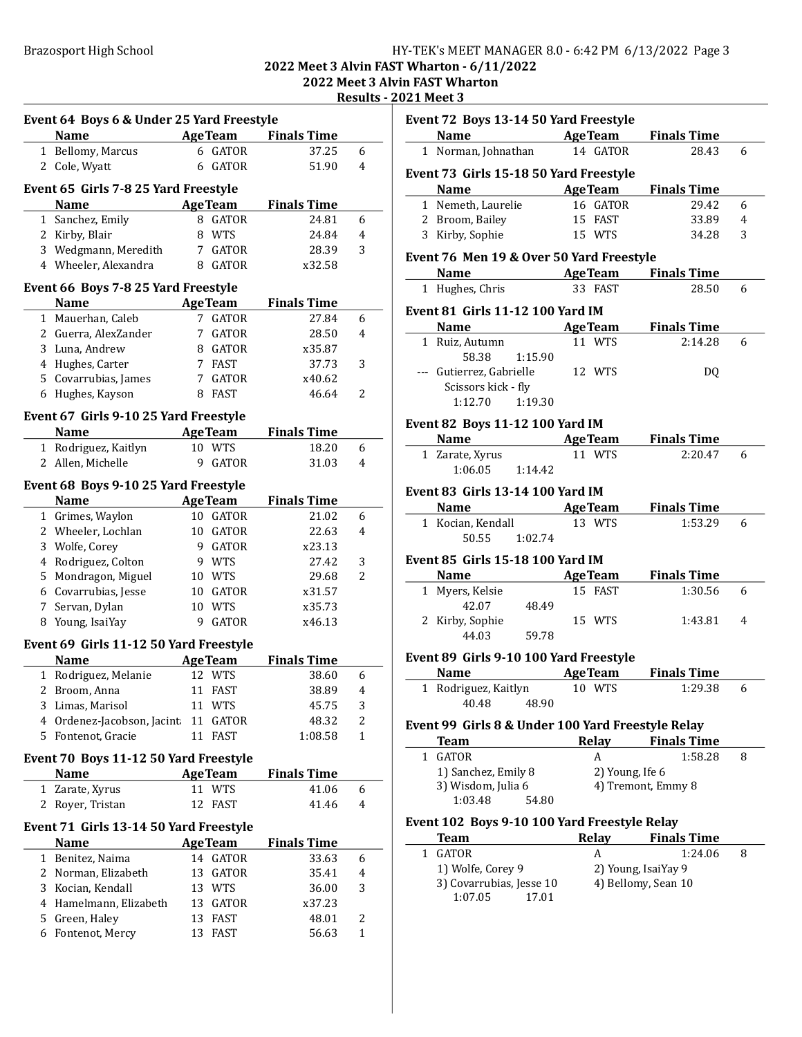## Brazosport High School **HY-TEK's MEET MANAGER 8.0 - 6:42 PM 6/13/2022** Page 3

2022 Meet 3 Alvin FAST Wharton - 6/11/2022 2022 Meet 3 Alvin FAST Wharton

Results - 2021 Meet 3

|              | Event 64 Boys 6 & Under 25 Yard Freestyle           |    |                |                     |                |
|--------------|-----------------------------------------------------|----|----------------|---------------------|----------------|
|              | <b>Name</b>                                         |    |                | AgeTeam Finals Time |                |
|              | 1 Bellomy, Marcus                                   | 6  | <b>GATOR</b>   | 37.25               | 6              |
|              | 2 Cole, Wyatt                                       | 6  | <b>GATOR</b>   | 51.90               | 4              |
|              |                                                     |    |                |                     |                |
|              | Event 65 Girls 7-8 25 Yard Freestyle<br><b>Name</b> |    | <b>AgeTeam</b> | <b>Finals Time</b>  |                |
|              | 1 Sanchez, Emily                                    | 8  | <b>GATOR</b>   | 24.81               | 6              |
|              | 2 Kirby, Blair                                      | 8  | WTS            | 24.84               | 4              |
|              | 3 Wedgmann, Meredith                                |    | 7 GATOR        | 28.39               | 3              |
|              | 4 Wheeler, Alexandra                                |    | 8 GATOR        | x32.58              |                |
|              |                                                     |    |                |                     |                |
|              | Event 66 Boys 7-8 25 Yard Freestyle                 |    |                |                     |                |
|              | Name                                                |    | <b>AgeTeam</b> | <b>Finals Time</b>  |                |
|              | 1 Mauerhan, Caleb                                   |    | 7 GATOR        | 27.84               | 6              |
|              | 2 Guerra, AlexZander                                | 7  | GATOR          | 28.50               | 4              |
|              | 3 Luna, Andrew                                      |    | 8 GATOR        | x35.87              |                |
|              | 4 Hughes, Carter                                    | 7  | FAST           | 37.73               | 3              |
|              | 5 Covarrubias, James                                | 7  | GATOR          | x40.62              |                |
| 6            | Hughes, Kayson                                      | 8  | FAST           | 46.64               | 2              |
|              | Event 67 Girls 9-10 25 Yard Freestyle               |    |                |                     |                |
|              | <b>Name</b>                                         |    | <b>AgeTeam</b> | <b>Finals Time</b>  |                |
|              | 1 Rodriguez, Kaitlyn                                | 10 | <b>WTS</b>     | 18.20               | 6              |
| 2            | Allen, Michelle                                     | 9  | <b>GATOR</b>   | 31.03               | 4              |
|              | Event 68 Boys 9-10 25 Yard Freestyle                |    |                |                     |                |
|              | <b>Name</b>                                         |    | <b>AgeTeam</b> | <b>Finals Time</b>  |                |
|              | 1 Grimes, Waylon                                    |    | 10 GATOR       | 21.02               | 6              |
|              | 2 Wheeler, Lochlan                                  |    | 10 GATOR       | 22.63               | 4              |
|              | 3 Wolfe, Corey                                      |    | 9 GATOR        | x23.13              |                |
|              | 4 Rodriguez, Colton                                 | 9  | WTS            | 27.42               | 3              |
|              | 5 Mondragon, Miguel                                 | 10 | WTS            | 29.68               | $\overline{2}$ |
|              | 6 Covarrubias, Jesse                                | 10 | GATOR          | x31.57              |                |
|              | 7 Servan, Dylan                                     | 10 | <b>WTS</b>     | x35.73              |                |
| 8            | Young, IsaiYay                                      | 9  | <b>GATOR</b>   | x46.13              |                |
|              | Event 69 Girls 11-12 50 Yard Freestyle              |    |                |                     |                |
|              | <b>Name</b>                                         |    | <b>AgeTeam</b> | <b>Finals Time</b>  |                |
| $\mathbf{1}$ | Rodriguez, Melanie                                  | 12 | <b>WTS</b>     | 38.60               | 6              |
| 2            | Broom, Anna                                         | 11 | <b>FAST</b>    | 38.89               | 4              |
| 3            | Limas, Marisol                                      |    | 11 WTS         | 45.75               | 3              |
| 4            | Ordenez-Jacobson, Jacint                            | 11 | GATOR          | 48.32               | 2              |
| 5            | Fontenot, Gracie                                    | 11 | <b>FAST</b>    | 1:08.58             | $\mathbf{1}$   |
|              |                                                     |    |                |                     |                |
|              | Event 70 Boys 11-12 50 Yard Freestyle               |    |                |                     |                |
|              | <b>Name</b>                                         |    | <b>AgeTeam</b> | <b>Finals Time</b>  |                |
| 1            | Zarate, Xyrus                                       | 11 | <b>WTS</b>     | 41.06               | 6              |
| 2            | Royer, Tristan                                      | 12 | <b>FAST</b>    | 41.46               | 4              |
|              | Event 71 Girls 13-14 50 Yard Freestyle              |    |                |                     |                |
|              | <b>Name</b>                                         |    | <b>AgeTeam</b> | <b>Finals Time</b>  |                |
| 1            | Benitez, Naima                                      | 14 | <b>GATOR</b>   | 33.63               | 6              |
| 2            | Norman, Elizabeth                                   | 13 | GATOR          | 35.41               | 4              |
| 3            | Kocian, Kendall                                     | 13 | <b>WTS</b>     | 36.00               | 3              |
| 4            | Hamelmann, Elizabeth                                | 13 | GATOR          | x37.23              |                |
| 5            | Green, Haley                                        | 13 | FAST           | 48.01               | 2              |
| 6            | Fontenot, Mercy                                     | 13 | FAST           | 56.63               | $\mathbf{1}$   |

|   | Event 72 Boys 13-14 50 Yard Freestyle                                                                                                                                                                                         |                           |                            |   |
|---|-------------------------------------------------------------------------------------------------------------------------------------------------------------------------------------------------------------------------------|---------------------------|----------------------------|---|
|   | Name AgeTeam                                                                                                                                                                                                                  |                           | <b>Finals Time</b>         |   |
|   | 1 Norman, Johnathan                                                                                                                                                                                                           | 14 GATOR                  | 28.43                      | 6 |
|   | Event 73 Girls 15-18 50 Yard Freestyle                                                                                                                                                                                        |                           |                            |   |
|   | Name                                                                                                                                                                                                                          | <b>Example 2 Age Team</b> | <b>Finals Time</b>         |   |
|   | 1 Nemeth, Laurelie                                                                                                                                                                                                            | 16 GATOR                  | 29.42                      | 6 |
|   | 2 Broom, Bailey                                                                                                                                                                                                               | 15 FAST                   | 33.89                      | 4 |
|   | 3 Kirby, Sophie                                                                                                                                                                                                               | 15 WTS                    | 34.28                      | 3 |
|   |                                                                                                                                                                                                                               |                           |                            |   |
|   | Event 76 Men 19 & Over 50 Yard Freestyle                                                                                                                                                                                      |                           |                            |   |
|   | <b>Name AgeTeam</b> Finals Time                                                                                                                                                                                               |                           |                            |   |
|   | 1 Hughes, Chris                                                                                                                                                                                                               | 33 FAST                   | 28.50                      | 6 |
|   | <b>Event 81 Girls 11-12 100 Yard IM</b>                                                                                                                                                                                       |                           |                            |   |
|   | Name and the same state of the state of the state of the state of the state of the state of the state of the state of the state of the state of the state of the state of the state of the state of the state of the state of |                           | <b>AgeTeam</b> Finals Time |   |
|   | 1 Ruiz, Autumn                                                                                                                                                                                                                | 11 WTS                    | 2:14.28                    | 6 |
|   | 1:15.90<br>58.38                                                                                                                                                                                                              |                           |                            |   |
|   | --- Gutierrez, Gabrielle                                                                                                                                                                                                      | 12 WTS                    | DQ                         |   |
|   | Scissors kick - fly                                                                                                                                                                                                           |                           |                            |   |
|   | 1:12.70 1:19.30                                                                                                                                                                                                               |                           |                            |   |
|   | Event 82 Boys 11-12 100 Yard IM                                                                                                                                                                                               |                           |                            |   |
|   | Name AgeTeam                                                                                                                                                                                                                  |                           | <b>Finals Time</b>         |   |
|   | 1 Zarate, Xyrus                                                                                                                                                                                                               | 11 WTS                    | 2:20.47                    | 6 |
|   | $1:06.05$ $1:14.42$                                                                                                                                                                                                           |                           |                            |   |
|   |                                                                                                                                                                                                                               |                           |                            |   |
|   | <b>Event 83 Girls 13-14 100 Yard IM</b>                                                                                                                                                                                       |                           |                            |   |
|   | Name and the set of the set of the set of the set of the set of the set of the set of the set of the set of the                                                                                                               | <b>AgeTeam</b>            | <b>Finals Time</b>         |   |
|   | 1 Kocian, Kendall                                                                                                                                                                                                             | 13 WTS                    | 1:53.29                    | 6 |
|   | 50.55<br>1:02.74                                                                                                                                                                                                              |                           |                            |   |
|   |                                                                                                                                                                                                                               |                           |                            |   |
|   | <b>Event 85 Girls 15-18 100 Yard IM</b>                                                                                                                                                                                       |                           |                            |   |
|   | Name                                                                                                                                                                                                                          | <b>AgeTeam</b>            | <b>Finals Time</b>         |   |
|   | 1 Myers, Kelsie                                                                                                                                                                                                               | 15 FAST                   | 1:30.56                    | 6 |
|   | 42.07<br>48.49                                                                                                                                                                                                                |                           |                            |   |
|   | 2 Kirby, Sophie                                                                                                                                                                                                               | 15 WTS                    | 1:43.81                    | 4 |
|   | 44.03<br>59.78                                                                                                                                                                                                                |                           |                            |   |
|   | Event 89 Girls 9-10 100 Yard Freestyle                                                                                                                                                                                        |                           |                            |   |
|   | <b>Name</b>                                                                                                                                                                                                                   | <b>AgeTeam</b>            | <b>Finals Time</b>         |   |
|   | 1 Rodriguez, Kaitlyn                                                                                                                                                                                                          | 10 WTS                    | 1:29.38                    | 6 |
|   | 48.90<br>40.48                                                                                                                                                                                                                |                           |                            |   |
|   |                                                                                                                                                                                                                               |                           |                            |   |
|   | Event 99 Girls 8 & Under 100 Yard Freestyle Relay                                                                                                                                                                             |                           |                            |   |
|   | <b>Team</b>                                                                                                                                                                                                                   | Relay                     | <b>Finals Time</b>         |   |
| 1 | <b>GATOR</b>                                                                                                                                                                                                                  | A                         | 1:58.28                    | 8 |
|   | 1) Sanchez, Emily 8                                                                                                                                                                                                           | 2) Young, Ife 6           |                            |   |
|   | 3) Wisdom, Julia 6                                                                                                                                                                                                            | 4) Tremont, Emmy 8        |                            |   |
|   | 1:03.48<br>54.80                                                                                                                                                                                                              |                           |                            |   |
|   | Event 102 Boys 9-10 100 Yard Freestyle Relay                                                                                                                                                                                  |                           |                            |   |
|   | <b>Team</b>                                                                                                                                                                                                                   | <b>Relay</b>              | <b>Finals Time</b>         |   |
|   | 1 GATOR                                                                                                                                                                                                                       | A                         | 1:24.06                    | 8 |
|   |                                                                                                                                                                                                                               |                           |                            |   |
|   |                                                                                                                                                                                                                               |                           |                            |   |
|   | 1) Wolfe, Corey 9                                                                                                                                                                                                             |                           | 2) Young, IsaiYay 9        |   |
|   | 3) Covarrubias, Jesse 10<br>1:07.05<br>17.01                                                                                                                                                                                  |                           | 4) Bellomy, Sean 10        |   |